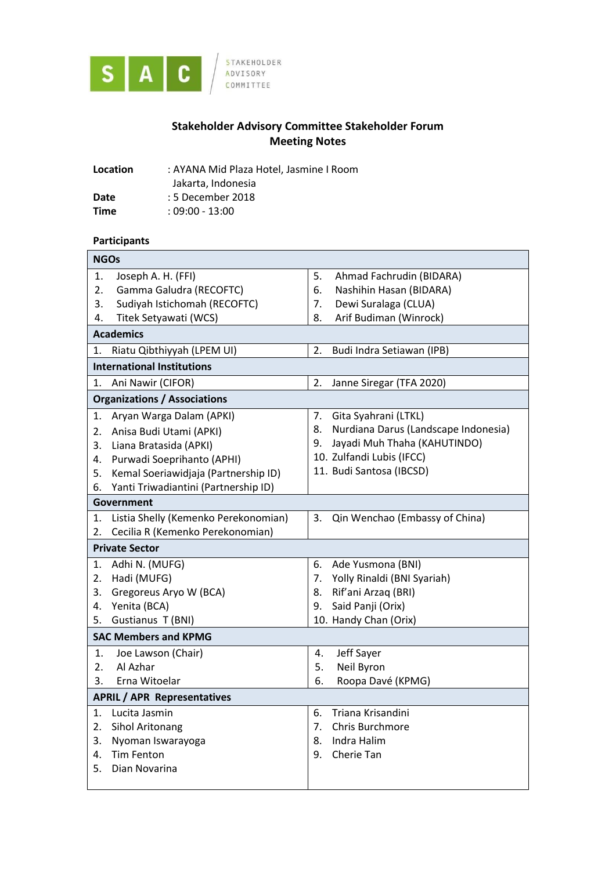

# **Stakeholder Advisory Committee Stakeholder Forum Meeting Notes**

| Location | : AYANA Mid Plaza Hotel, Jasmine I Room |
|----------|-----------------------------------------|
|          | Jakarta, Indonesia                      |
| Date     | : 5 December 2018                       |
| Time     | $:09:00 - 13:00$                        |

# **Participants**

|    | <b>NGOs</b>                          |                                            |  |  |  |
|----|--------------------------------------|--------------------------------------------|--|--|--|
| 1. | Joseph A. H. (FFI)                   | Ahmad Fachrudin (BIDARA)<br>5.             |  |  |  |
| 2. | Gamma Galudra (RECOFTC)              | 6.<br>Nashihin Hasan (BIDARA)              |  |  |  |
| 3. | Sudiyah Istichomah (RECOFTC)         | 7.<br>Dewi Suralaga (CLUA)                 |  |  |  |
| 4. | Titek Setyawati (WCS)                | 8.<br>Arif Budiman (Winrock)               |  |  |  |
|    | <b>Academics</b>                     |                                            |  |  |  |
| 1. | Riatu Qibthiyyah (LPEM UI)           | 2.<br>Budi Indra Setiawan (IPB)            |  |  |  |
|    | <b>International Institutions</b>    |                                            |  |  |  |
| 1. | Ani Nawir (CIFOR)                    | 2.<br>Janne Siregar (TFA 2020)             |  |  |  |
|    | <b>Organizations / Associations</b>  |                                            |  |  |  |
| 1. | Aryan Warga Dalam (APKI)             | 7. Gita Syahrani (LTKL)                    |  |  |  |
| 2. | Anisa Budi Utami (APKI)              | Nurdiana Darus (Landscape Indonesia)<br>8. |  |  |  |
| 3. | Liana Bratasida (APKI)               | Jayadi Muh Thaha (KAHUTINDO)<br>9.         |  |  |  |
| 4. | Purwadi Soeprihanto (APHI)           | 10. Zulfandi Lubis (IFCC)                  |  |  |  |
| 5. | Kemal Soeriawidjaja (Partnership ID) | 11. Budi Santosa (IBCSD)                   |  |  |  |
| 6. | Yanti Triwadiantini (Partnership ID) |                                            |  |  |  |
|    | Government                           |                                            |  |  |  |
| 1. | Listia Shelly (Kemenko Perekonomian) | 3.<br>Qin Wenchao (Embassy of China)       |  |  |  |
| 2. | Cecilia R (Kemenko Perekonomian)     |                                            |  |  |  |
|    | <b>Private Sector</b>                |                                            |  |  |  |
| 1. | Adhi N. (MUFG)                       | Ade Yusmona (BNI)<br>6.                    |  |  |  |
| 2. | Hadi (MUFG)                          | Yolly Rinaldi (BNI Syariah)<br>7.          |  |  |  |
| 3. | Gregoreus Aryo W (BCA)               | Rif'ani Arzaq (BRI)<br>8.                  |  |  |  |
| 4. | Yenita (BCA)                         | Said Panji (Orix)<br>9.                    |  |  |  |
| 5. | Gustianus T (BNI)                    | 10. Handy Chan (Orix)                      |  |  |  |
|    | <b>SAC Members and KPMG</b>          |                                            |  |  |  |
| 1. | Joe Lawson (Chair)                   | Jeff Sayer<br>4.                           |  |  |  |
| 2. | Al Azhar                             | 5.<br>Neil Byron                           |  |  |  |
| 3. | Erna Witoelar                        | Roopa Davé (KPMG)<br>6.                    |  |  |  |
|    | <b>APRIL / APR Representatives</b>   |                                            |  |  |  |
| 1. | Lucita Jasmin                        | Triana Krisandini<br>6.                    |  |  |  |
| 2. | Sihol Aritonang                      | Chris Burchmore<br>7.                      |  |  |  |
| 3. | Nyoman Iswarayoga                    | Indra Halim<br>8.                          |  |  |  |
| 4. | Tim Fenton                           | Cherie Tan<br>9.                           |  |  |  |
| 5. | Dian Novarina                        |                                            |  |  |  |
|    |                                      |                                            |  |  |  |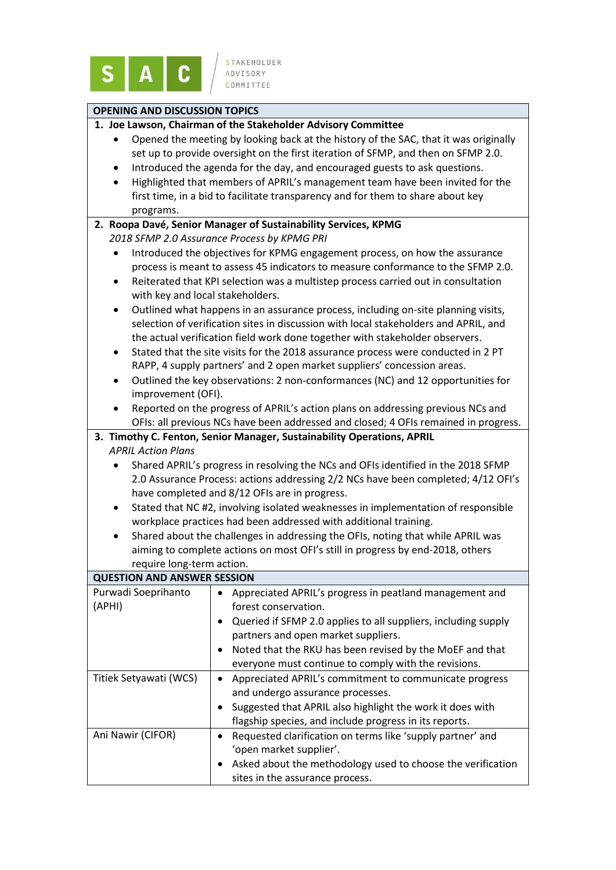

# **OPENING AND DISCUSSION TOPICS**

#### **1. Joe Lawson, Chairman of the Stakeholder Advisory Committee**

- Opened the meeting by looking back at the history of the SAC, that it was originally set up to provide oversight on the first iteration of SFMP, and then on SFMP 2.0.
- Introduced the agenda for the day, and encouraged guests to ask questions.
- Highlighted that members of APRIL's management team have been invited for the first time, in a bid to facilitate transparency and for them to share about key programs.

## **2. Roopa Davé, Senior Manager of Sustainability Services, KPMG**

*2018 SFMP 2.0 Assurance Process by KPMG PRI*

- Introduced the objectives for KPMG engagement process, on how the assurance process is meant to assess 45 indicators to measure conformance to the SFMP 2.0.
- Reiterated that KPI selection was a multistep process carried out in consultation with key and local stakeholders.
- Outlined what happens in an assurance process, including on-site planning visits, selection of verification sites in discussion with local stakeholders and APRIL, and the actual verification field work done together with stakeholder observers.
- Stated that the site visits for the 2018 assurance process were conducted in 2 PT RAPP, 4 supply partners' and 2 open market suppliers' concession areas.
- Outlined the key observations: 2 non-conformances (NC) and 12 opportunities for improvement (OFI).
- Reported on the progress of APRIL's action plans on addressing previous NCs and OFIs: all previous NCs have been addressed and closed; 4 OFIs remained in progress.

## **3. Timothy C. Fenton, Senior Manager, Sustainability Operations, APRIL**

*APRIL Action Plans*

- Shared APRIL's progress in resolving the NCs and OFIs identified in the 2018 SFMP 2.0 Assurance Process: actions addressing 2/2 NCs have been completed; 4/12 OFI's have completed and 8/12 OFIs are in progress.
- Stated that NC #2, involving isolated weaknesses in implementation of responsible workplace practices had been addressed with additional training.
- Shared about the challenges in addressing the OFIs, noting that while APRIL was aiming to complete actions on most OFI's still in progress by end-2018, others require long-term action.

| <b>QUESTION AND ANSWER SESSION</b> |                                                                                                       |  |
|------------------------------------|-------------------------------------------------------------------------------------------------------|--|
| Purwadi Soeprihanto                | Appreciated APRIL's progress in peatland management and                                               |  |
| (APHI)                             | forest conservation.                                                                                  |  |
|                                    | Queried if SFMP 2.0 applies to all suppliers, including supply<br>partners and open market suppliers. |  |
|                                    | Noted that the RKU has been revised by the MoEF and that                                              |  |
|                                    | everyone must continue to comply with the revisions.                                                  |  |
| Titiek Setyawati (WCS)             | Appreciated APRIL's commitment to communicate progress                                                |  |
|                                    | and undergo assurance processes.                                                                      |  |
|                                    | Suggested that APRIL also highlight the work it does with                                             |  |
|                                    | flagship species, and include progress in its reports.                                                |  |
| Ani Nawir (CIFOR)                  | Requested clarification on terms like 'supply partner' and                                            |  |
|                                    | 'open market supplier'.                                                                               |  |
|                                    | Asked about the methodology used to choose the verification                                           |  |
|                                    | sites in the assurance process.                                                                       |  |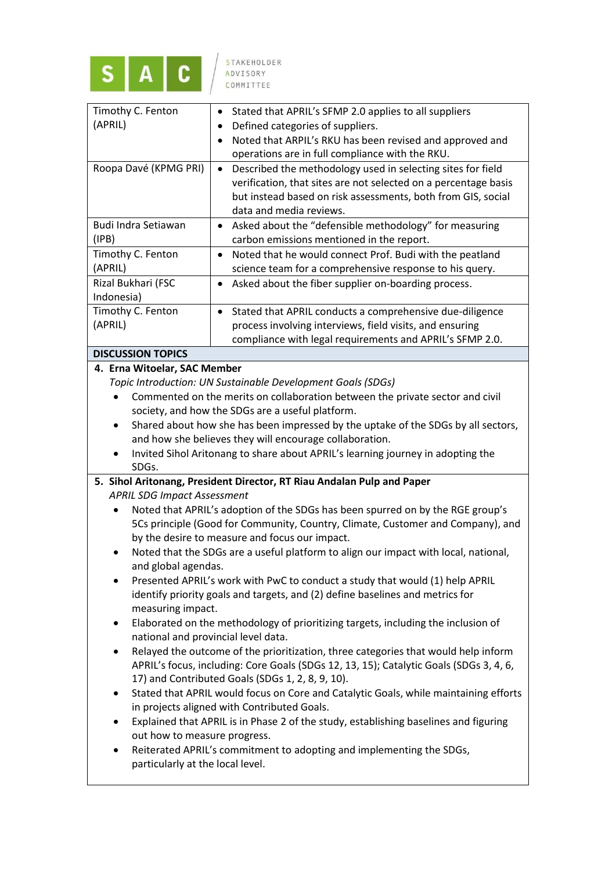

| Timothy C. Fenton                                                                               | Stated that APRIL's SFMP 2.0 applies to all suppliers                               |  |  |
|-------------------------------------------------------------------------------------------------|-------------------------------------------------------------------------------------|--|--|
| (APRIL)                                                                                         | Defined categories of suppliers.<br>٠                                               |  |  |
|                                                                                                 | Noted that ARPIL's RKU has been revised and approved and                            |  |  |
|                                                                                                 | operations are in full compliance with the RKU.                                     |  |  |
| Roopa Davé (KPMG PRI)                                                                           | Described the methodology used in selecting sites for field<br>$\bullet$            |  |  |
|                                                                                                 | verification, that sites are not selected on a percentage basis                     |  |  |
|                                                                                                 | but instead based on risk assessments, both from GIS, social                        |  |  |
|                                                                                                 | data and media reviews.                                                             |  |  |
| Budi Indra Setiawan                                                                             | Asked about the "defensible methodology" for measuring<br>٠                         |  |  |
| (IPB)                                                                                           | carbon emissions mentioned in the report.                                           |  |  |
| Timothy C. Fenton                                                                               | Noted that he would connect Prof. Budi with the peatland<br>$\bullet$               |  |  |
| (APRIL)                                                                                         | science team for a comprehensive response to his query.                             |  |  |
| Rizal Bukhari (FSC                                                                              | Asked about the fiber supplier on-boarding process.<br>$\bullet$                    |  |  |
| Indonesia)                                                                                      |                                                                                     |  |  |
| Timothy C. Fenton                                                                               | Stated that APRIL conducts a comprehensive due-diligence<br>٠                       |  |  |
| (APRIL)                                                                                         | process involving interviews, field visits, and ensuring                            |  |  |
|                                                                                                 | compliance with legal requirements and APRIL's SFMP 2.0.                            |  |  |
| <b>DISCUSSION TOPICS</b>                                                                        |                                                                                     |  |  |
| 4. Erna Witoelar, SAC Member                                                                    |                                                                                     |  |  |
|                                                                                                 | Topic Introduction: UN Sustainable Development Goals (SDGs)                         |  |  |
|                                                                                                 | Commented on the merits on collaboration between the private sector and civil       |  |  |
|                                                                                                 | society, and how the SDGs are a useful platform.                                    |  |  |
| ٠                                                                                               | Shared about how she has been impressed by the uptake of the SDGs by all sectors,   |  |  |
|                                                                                                 | and how she believes they will encourage collaboration.                             |  |  |
|                                                                                                 | Invited Sihol Aritonang to share about APRIL's learning journey in adopting the     |  |  |
| SDGs.                                                                                           |                                                                                     |  |  |
| 5. Sihol Aritonang, President Director, RT Riau Andalan Pulp and Paper                          |                                                                                     |  |  |
| <b>APRIL SDG Impact Assessment</b>                                                              |                                                                                     |  |  |
|                                                                                                 | Noted that APRIL's adoption of the SDGs has been spurred on by the RGE group's      |  |  |
|                                                                                                 | 5Cs principle (Good for Community, Country, Climate, Customer and Company), and     |  |  |
|                                                                                                 | by the desire to measure and focus our impact.                                      |  |  |
|                                                                                                 | Noted that the SDGs are a useful platform to align our impact with local, national, |  |  |
| and global agendas.                                                                             |                                                                                     |  |  |
|                                                                                                 | Presented APRIL's work with PwC to conduct a study that would (1) help APRIL        |  |  |
|                                                                                                 | identify priority goals and targets, and (2) define baselines and metrics for       |  |  |
|                                                                                                 | measuring impact.                                                                   |  |  |
| ٠                                                                                               | Elaborated on the methodology of prioritizing targets, including the inclusion of   |  |  |
| national and provincial level data.                                                             |                                                                                     |  |  |
| Relayed the outcome of the prioritization, three categories that would help inform<br>$\bullet$ |                                                                                     |  |  |
| APRIL's focus, including: Core Goals (SDGs 12, 13, 15); Catalytic Goals (SDGs 3, 4, 6,          |                                                                                     |  |  |
| 17) and Contributed Goals (SDGs 1, 2, 8, 9, 10).                                                |                                                                                     |  |  |
| Stated that APRIL would focus on Core and Catalytic Goals, while maintaining efforts            |                                                                                     |  |  |
| in projects aligned with Contributed Goals.                                                     |                                                                                     |  |  |
| Explained that APRIL is in Phase 2 of the study, establishing baselines and figuring<br>٠       |                                                                                     |  |  |
| out how to measure progress.                                                                    |                                                                                     |  |  |
| Reiterated APRIL's commitment to adopting and implementing the SDGs,                            |                                                                                     |  |  |
| particularly at the local level.                                                                |                                                                                     |  |  |
|                                                                                                 |                                                                                     |  |  |
|                                                                                                 |                                                                                     |  |  |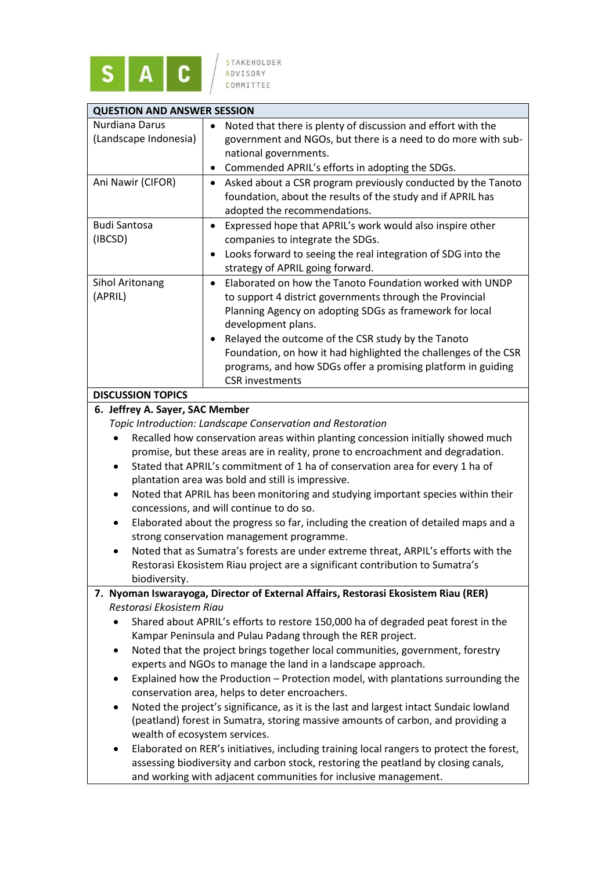

| <b>QUESTION AND ANSWER SESSION</b>                                                                                                                                                                                                                                                                                                                                                                                                                                                                                                                                                                                                                                                                                                                                                                                                                                                                                                                                                         |                                                                                                                                                                                                                                                                                                                                                                                                                                                                                                                                                                                                                                                                                                                                                     |  |  |
|--------------------------------------------------------------------------------------------------------------------------------------------------------------------------------------------------------------------------------------------------------------------------------------------------------------------------------------------------------------------------------------------------------------------------------------------------------------------------------------------------------------------------------------------------------------------------------------------------------------------------------------------------------------------------------------------------------------------------------------------------------------------------------------------------------------------------------------------------------------------------------------------------------------------------------------------------------------------------------------------|-----------------------------------------------------------------------------------------------------------------------------------------------------------------------------------------------------------------------------------------------------------------------------------------------------------------------------------------------------------------------------------------------------------------------------------------------------------------------------------------------------------------------------------------------------------------------------------------------------------------------------------------------------------------------------------------------------------------------------------------------------|--|--|
| <b>Nurdiana Darus</b><br>(Landscape Indonesia)                                                                                                                                                                                                                                                                                                                                                                                                                                                                                                                                                                                                                                                                                                                                                                                                                                                                                                                                             | Noted that there is plenty of discussion and effort with the<br>government and NGOs, but there is a need to do more with sub-<br>national governments.<br>Commended APRIL's efforts in adopting the SDGs.<br>٠                                                                                                                                                                                                                                                                                                                                                                                                                                                                                                                                      |  |  |
| Ani Nawir (CIFOR)                                                                                                                                                                                                                                                                                                                                                                                                                                                                                                                                                                                                                                                                                                                                                                                                                                                                                                                                                                          | Asked about a CSR program previously conducted by the Tanoto<br>$\bullet$<br>foundation, about the results of the study and if APRIL has<br>adopted the recommendations.                                                                                                                                                                                                                                                                                                                                                                                                                                                                                                                                                                            |  |  |
| <b>Budi Santosa</b><br>(IBCSD)                                                                                                                                                                                                                                                                                                                                                                                                                                                                                                                                                                                                                                                                                                                                                                                                                                                                                                                                                             | Expressed hope that APRIL's work would also inspire other<br>$\bullet$<br>companies to integrate the SDGs.<br>Looks forward to seeing the real integration of SDG into the<br>٠<br>strategy of APRIL going forward.                                                                                                                                                                                                                                                                                                                                                                                                                                                                                                                                 |  |  |
| Sihol Aritonang<br>(APRIL)                                                                                                                                                                                                                                                                                                                                                                                                                                                                                                                                                                                                                                                                                                                                                                                                                                                                                                                                                                 | Elaborated on how the Tanoto Foundation worked with UNDP<br>$\bullet$<br>to support 4 district governments through the Provincial<br>Planning Agency on adopting SDGs as framework for local<br>development plans.<br>Relayed the outcome of the CSR study by the Tanoto<br>Foundation, on how it had highlighted the challenges of the CSR<br>programs, and how SDGs offer a promising platform in guiding<br><b>CSR</b> investments                                                                                                                                                                                                                                                                                                               |  |  |
| <b>DISCUSSION TOPICS</b>                                                                                                                                                                                                                                                                                                                                                                                                                                                                                                                                                                                                                                                                                                                                                                                                                                                                                                                                                                   |                                                                                                                                                                                                                                                                                                                                                                                                                                                                                                                                                                                                                                                                                                                                                     |  |  |
| 6. Jeffrey A. Sayer, SAC Member<br>Topic Introduction: Landscape Conservation and Restoration<br>Recalled how conservation areas within planting concession initially showed much<br>promise, but these areas are in reality, prone to encroachment and degradation.<br>Stated that APRIL's commitment of 1 ha of conservation area for every 1 ha of<br>$\bullet$<br>plantation area was bold and still is impressive.<br>Noted that APRIL has been monitoring and studying important species within their<br>$\bullet$<br>concessions, and will continue to do so.<br>Elaborated about the progress so far, including the creation of detailed maps and a<br>٠<br>strong conservation management programme.<br>Noted that as Sumatra's forests are under extreme threat, ARPIL's efforts with the<br>Restorasi Ekosistem Riau project are a significant contribution to Sumatra's<br>biodiversity.<br>7. Nyoman Iswarayoga, Director of External Affairs, Restorasi Ekosistem Riau (RER) |                                                                                                                                                                                                                                                                                                                                                                                                                                                                                                                                                                                                                                                                                                                                                     |  |  |
| Restorasi Ekosistem Riau<br>$\bullet$<br>$\bullet$<br>$\bullet$<br>٠                                                                                                                                                                                                                                                                                                                                                                                                                                                                                                                                                                                                                                                                                                                                                                                                                                                                                                                       | Shared about APRIL's efforts to restore 150,000 ha of degraded peat forest in the<br>Kampar Peninsula and Pulau Padang through the RER project.<br>Noted that the project brings together local communities, government, forestry<br>experts and NGOs to manage the land in a landscape approach.<br>Explained how the Production - Protection model, with plantations surrounding the<br>conservation area, helps to deter encroachers.<br>Noted the project's significance, as it is the last and largest intact Sundaic lowland<br>(peatland) forest in Sumatra, storing massive amounts of carbon, and providing a<br>wealth of ecosystem services.<br>Elaborated on RER's initiatives, including training local rangers to protect the forest, |  |  |
|                                                                                                                                                                                                                                                                                                                                                                                                                                                                                                                                                                                                                                                                                                                                                                                                                                                                                                                                                                                            | assessing biodiversity and carbon stock, restoring the peatland by closing canals,                                                                                                                                                                                                                                                                                                                                                                                                                                                                                                                                                                                                                                                                  |  |  |

and working with adjacent communities for inclusive management.